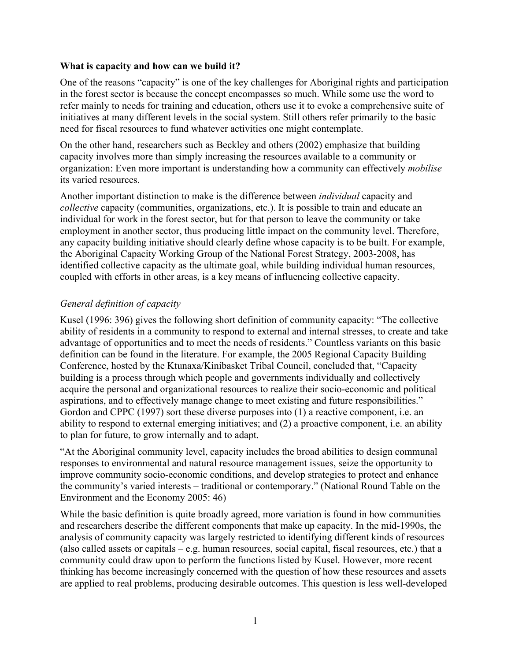## **What is capacity and how can we build it?**

One of the reasons "capacity" is one of the key challenges for Aboriginal rights and participation in the forest sector is because the concept encompasses so much. While some use the word to refer mainly to needs for training and education, others use it to evoke a comprehensive suite of initiatives at many different levels in the social system. Still others refer primarily to the basic need for fiscal resources to fund whatever activities one might contemplate.

On the other hand, researchers such as Beckley and others (2002) emphasize that building capacity involves more than simply increasing the resources available to a community or organization: Even more important is understanding how a community can effectively *mobilise* its varied resources.

Another important distinction to make is the difference between *individual* capacity and *collective* capacity (communities, organizations, etc.). It is possible to train and educate an individual for work in the forest sector, but for that person to leave the community or take employment in another sector, thus producing little impact on the community level. Therefore, any capacity building initiative should clearly define whose capacity is to be built. For example, the Aboriginal Capacity Working Group of the National Forest Strategy, 2003-2008, has identified collective capacity as the ultimate goal, while building individual human resources, coupled with efforts in other areas, is a key means of influencing collective capacity.

## *General definition of capacity*

Kusel (1996: 396) gives the following short definition of community capacity: "The collective ability of residents in a community to respond to external and internal stresses, to create and take advantage of opportunities and to meet the needs of residents." Countless variants on this basic definition can be found in the literature. For example, the 2005 Regional Capacity Building Conference, hosted by the Ktunaxa/Kinibasket Tribal Council, concluded that, "Capacity building is a process through which people and governments individually and collectively acquire the personal and organizational resources to realize their socio-economic and political aspirations, and to effectively manage change to meet existing and future responsibilities." Gordon and CPPC (1997) sort these diverse purposes into (1) a reactive component, i.e. an ability to respond to external emerging initiatives; and (2) a proactive component, i.e. an ability to plan for future, to grow internally and to adapt.

"At the Aboriginal community level, capacity includes the broad abilities to design communal responses to environmental and natural resource management issues, seize the opportunity to improve community socio-economic conditions, and develop strategies to protect and enhance the community's varied interests – traditional or contemporary." (National Round Table on the Environment and the Economy 2005: 46)

While the basic definition is quite broadly agreed, more variation is found in how communities and researchers describe the different components that make up capacity. In the mid-1990s, the analysis of community capacity was largely restricted to identifying different kinds of resources (also called assets or capitals – e.g. human resources, social capital, fiscal resources, etc.) that a community could draw upon to perform the functions listed by Kusel. However, more recent thinking has become increasingly concerned with the question of how these resources and assets are applied to real problems, producing desirable outcomes. This question is less well-developed